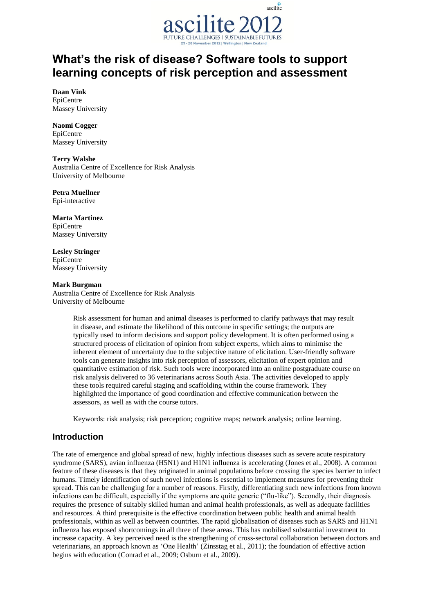

# **What's the risk of disease? Software tools to support learning concepts of risk perception and assessment**

**Daan Vink** EpiCentre Massey University

**Naomi Cogger**  EpiCentre Massey University

**Terry Walshe** Australia Centre of Excellence for Risk Analysis University of Melbourne

**Petra Muellner** Epi-interactive

**Marta Martinez** EpiCentre Massey University

**Lesley Stringer** EpiCentre Massey University

## **Mark Burgman**

Australia Centre of Excellence for Risk Analysis University of Melbourne

> Risk assessment for human and animal diseases is performed to clarify pathways that may result in disease, and estimate the likelihood of this outcome in specific settings; the outputs are typically used to inform decisions and support policy development. It is often performed using a structured process of elicitation of opinion from subject experts, which aims to minimise the inherent element of uncertainty due to the subjective nature of elicitation. User-friendly software tools can generate insights into risk perception of assessors, elicitation of expert opinion and quantitative estimation of risk. Such tools were incorporated into an online postgraduate course on risk analysis delivered to 36 veterinarians across South Asia. The activities developed to apply these tools required careful staging and scaffolding within the course framework. They highlighted the importance of good coordination and effective communication between the assessors, as well as with the course tutors.

Keywords: risk analysis; risk perception; cognitive maps; network analysis; online learning.

# **Introduction**

The rate of emergence and global spread of new, highly infectious diseases such as severe acute respiratory syndrome (SARS), avian influenza (H5N1) and H1N1 influenza is accelerating (Jones et al., 2008). A common feature of these diseases is that they originated in animal populations before crossing the species barrier to infect humans. Timely identification of such novel infections is essential to implement measures for preventing their spread. This can be challenging for a number of reasons. Firstly, differentiating such new infections from known infections can be difficult, especially if the symptoms are quite generic ("flu-like"). Secondly, their diagnosis requires the presence of suitably skilled human and animal health professionals, as well as adequate facilities and resources. A third prerequisite is the effective coordination between public health and animal health professionals, within as well as between countries. The rapid globalisation of diseases such as SARS and H1N1 influenza has exposed shortcomings in all three of these areas. This has mobilised substantial investment to increase capacity. A key perceived need is the strengthening of cross-sectoral collaboration between doctors and veterinarians, an approach known as "One Health" (Zinsstag et al., 2011); the foundation of effective action begins with education (Conrad et al., 2009; Osburn et al., 2009).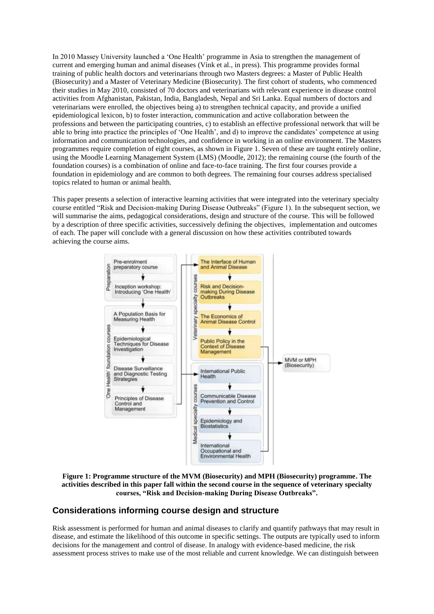In 2010 Massey University launched a "One Health" programme in Asia to strengthen the management of current and emerging human and animal diseases (Vink et al., in press). This programme provides formal training of public health doctors and veterinarians through two Masters degrees: a Master of Public Health (Biosecurity) and a Master of Veterinary Medicine (Biosecurity). The first cohort of students, who commenced their studies in May 2010, consisted of 70 doctors and veterinarians with relevant experience in disease control activities from Afghanistan, Pakistan, India, Bangladesh, Nepal and Sri Lanka. Equal numbers of doctors and veterinarians were enrolled, the objectives being a) to strengthen technical capacity, and provide a unified epidemiological lexicon, b) to foster interaction, communication and active collaboration between the professions and between the participating countries, c) to establish an effective professional network that will be able to bring into practice the principles of "One Health", and d) to improve the candidates" competence at using information and communication technologies, and confidence in working in an online environment. The Masters programmes require completion of eight courses, as shown in Figure 1. Seven of these are taught entirely online, using the Moodle Learning Management System (LMS) (Moodle, 2012); the remaining course (the fourth of the foundation courses) is a combination of online and face-to-face training. The first four courses provide a foundation in epidemiology and are common to both degrees. The remaining four courses address specialised topics related to human or animal health.

This paper presents a selection of interactive learning activities that were integrated into the veterinary specialty course entitled "Risk and Decision-making During Disease Outbreaks" (Figure 1). In the subsequent section, we will summarise the aims, pedagogical considerations, design and structure of the course. This will be followed by a description of three specific activities, successively defining the objectives, implementation and outcomes of each. The paper will conclude with a general discussion on how these activities contributed towards achieving the course aims.



**Figure 1: Programme structure of the MVM (Biosecurity) and MPH (Biosecurity) programme. The activities described in this paper fall within the second course in the sequence of veterinary specialty courses, "Risk and Decision-making During Disease Outbreaks".**

# **Considerations informing course design and structure**

Risk assessment is performed for human and animal diseases to clarify and quantify pathways that may result in disease, and estimate the likelihood of this outcome in specific settings. The outputs are typically used to inform decisions for the management and control of disease. In analogy with evidence-based medicine, the risk assessment process strives to make use of the most reliable and current knowledge. We can distinguish between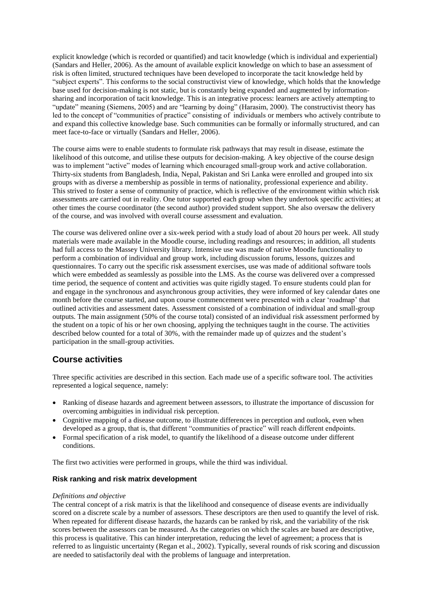explicit knowledge (which is recorded or quantified) and tacit knowledge (which is individual and experiential) (Sandars and Heller, 2006). As the amount of available explicit knowledge on which to base an assessment of risk is often limited, structured techniques have been developed to incorporate the tacit knowledge held by "subject experts". This conforms to the social constructivist view of knowledge, which holds that the knowledge base used for decision-making is not static, but is constantly being expanded and augmented by informationsharing and incorporation of tacit knowledge. This is an integrative process: learners are actively attempting to "update" meaning (Siemens, 2005) and are "learning by doing" (Harasim, 2000). The constructivist theory has led to the concept of "communities of practice" consisting of individuals or members who actively contribute to and expand this collective knowledge base. Such communities can be formally or informally structured, and can meet face-to-face or virtually (Sandars and Heller, 2006).

The course aims were to enable students to formulate risk pathways that may result in disease, estimate the likelihood of this outcome, and utilise these outputs for decision-making. A key objective of the course design was to implement "active" modes of learning which encouraged small-group work and active collaboration. Thirty-six students from Bangladesh, India, Nepal, Pakistan and Sri Lanka were enrolled and grouped into six groups with as diverse a membership as possible in terms of nationality, professional experience and ability. This strived to foster a sense of community of practice, which is reflective of the environment within which risk assessments are carried out in reality. One tutor supported each group when they undertook specific activities; at other times the course coordinator (the second author) provided student support. She also oversaw the delivery of the course, and was involved with overall course assessment and evaluation.

The course was delivered online over a six-week period with a study load of about 20 hours per week. All study materials were made available in the Moodle course, including readings and resources; in addition, all students had full access to the Massey University library. Intensive use was made of native Moodle functionality to perform a combination of individual and group work, including discussion forums, lessons, quizzes and questionnaires. To carry out the specific risk assessment exercises, use was made of additional software tools which were embedded as seamlessly as possible into the LMS. As the course was delivered over a compressed time period, the sequence of content and activities was quite rigidly staged. To ensure students could plan for and engage in the synchronous and asynchronous group activities, they were informed of key calendar dates one month before the course started, and upon course commencement were presented with a clear "roadmap" that outlined activities and assessment dates. Assessment consisted of a combination of individual and small-group outputs. The main assignment (50% of the course total) consisted of an individual risk assessment performed by the student on a topic of his or her own choosing, applying the techniques taught in the course. The activities described below counted for a total of 30%, with the remainder made up of quizzes and the student"s participation in the small-group activities.

# **Course activities**

Three specific activities are described in this section. Each made use of a specific software tool. The activities represented a logical sequence, namely:

- Ranking of disease hazards and agreement between assessors, to illustrate the importance of discussion for overcoming ambiguities in individual risk perception.
- Cognitive mapping of a disease outcome, to illustrate differences in perception and outlook, even when developed as a group, that is, that different "communities of practice" will reach different endpoints.
- Formal specification of a risk model, to quantify the likelihood of a disease outcome under different conditions.

The first two activities were performed in groups, while the third was individual.

# **Risk ranking and risk matrix development**

## *Definitions and objective*

The central concept of a risk matrix is that the likelihood and consequence of disease events are individually scored on a discrete scale by a number of assessors. These descriptors are then used to quantify the level of risk. When repeated for different disease hazards, the hazards can be ranked by risk, and the variability of the risk scores between the assessors can be measured. As the categories on which the scales are based are descriptive, this process is qualitative. This can hinder interpretation, reducing the level of agreement; a process that is referred to as linguistic uncertainty (Regan et al., 2002). Typically, several rounds of risk scoring and discussion are needed to satisfactorily deal with the problems of language and interpretation.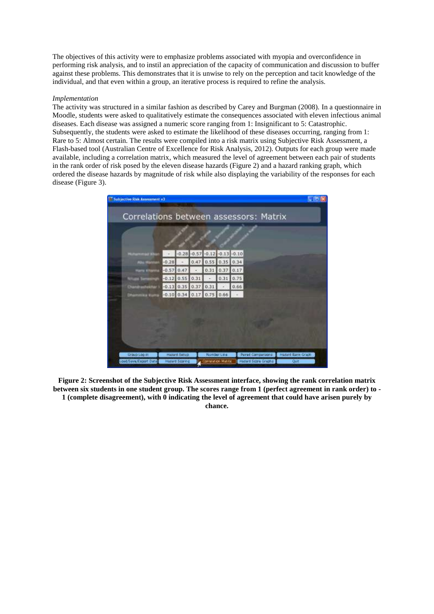The objectives of this activity were to emphasize problems associated with myopia and overconfidence in performing risk analysis, and to instil an appreciation of the capacity of communication and discussion to buffer against these problems. This demonstrates that it is unwise to rely on the perception and tacit knowledge of the individual, and that even within a group, an iterative process is required to refine the analysis.

#### *Implementation*

The activity was structured in a similar fashion as described by Carey and Burgman (2008). In a questionnaire in Moodle, students were asked to qualitatively estimate the consequences associated with eleven infectious animal diseases. Each disease was assigned a numeric score ranging from 1: Insignificant to 5: Catastrophic. Subsequently, the students were asked to estimate the likelihood of these diseases occurring, ranging from 1: Rare to 5: Almost certain. The results were compiled into a risk matrix using Subjective Risk Assessment, a Flash-based tool (Australian Centre of Excellence for Risk Analysis, 2012). Outputs for each group were made available, including a correlation matrix, which measured the level of agreement between each pair of students in the rank order of risk posed by the eleven disease hazards (Figure 2) and a hazard ranking graph, which ordered the disease hazards by magnitude of risk while also displaying the variability of the responses for each disease (Figure 3).

|         |                   |      | $-0.28 - 0.57 - 0.12 - 0.13 - 0.10$ |                  |      |  |  |
|---------|-------------------|------|-------------------------------------|------------------|------|--|--|
| $-0.28$ |                   | 0.47 |                                     | $0.55$ 0.35 0.34 |      |  |  |
| $-0.57$ | 0.47              |      | 0.31                                | 0.37             | 0.17 |  |  |
|         | $-0.12$ 0.55 0.31 |      | $\overline{a}$                      | $0.31$ $0.75$    |      |  |  |
|         |                   |      | $-0.13$ 0.35 0.37 0.31              |                  | 0.66 |  |  |
|         |                   |      | $-0.10$ 0.34 0.17 0.75 0.66         |                  |      |  |  |
|         |                   |      |                                     |                  |      |  |  |
|         |                   |      |                                     |                  |      |  |  |

**Figure 2: Screenshot of the Subjective Risk Assessment interface, showing the rank correlation matrix between six students in one student group. The scores range from 1 (perfect agreement in rank order) to - 1 (complete disagreement), with 0 indicating the level of agreement that could have arisen purely by chance.**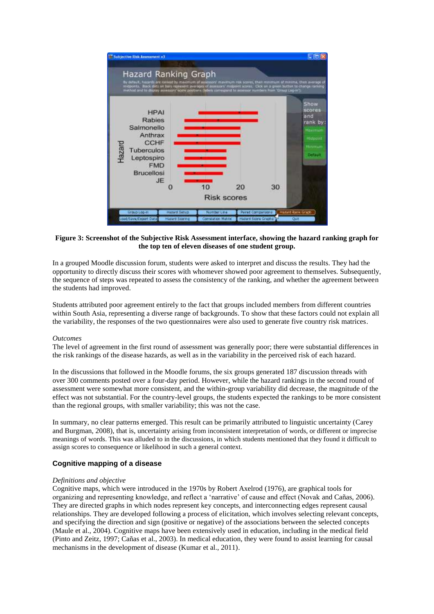

## **Figure 3: Screenshot of the Subjective Risk Assessment interface, showing the hazard ranking graph for the top ten of eleven diseases of one student group.**

In a grouped Moodle discussion forum, students were asked to interpret and discuss the results. They had the opportunity to directly discuss their scores with whomever showed poor agreement to themselves. Subsequently, the sequence of steps was repeated to assess the consistency of the ranking, and whether the agreement between the students had improved.

Students attributed poor agreement entirely to the fact that groups included members from different countries within South Asia, representing a diverse range of backgrounds. To show that these factors could not explain all the variability, the responses of the two questionnaires were also used to generate five country risk matrices.

#### *Outcomes*

The level of agreement in the first round of assessment was generally poor; there were substantial differences in the risk rankings of the disease hazards, as well as in the variability in the perceived risk of each hazard.

In the discussions that followed in the Moodle forums, the six groups generated 187 discussion threads with over 300 comments posted over a four-day period. However, while the hazard rankings in the second round of assessment were somewhat more consistent, and the within-group variability did decrease, the magnitude of the effect was not substantial. For the country-level groups, the students expected the rankings to be more consistent than the regional groups, with smaller variability; this was not the case.

In summary, no clear patterns emerged. This result can be primarily attributed to linguistic uncertainty (Carey and Burgman, 2008), that is, uncertainty arising from inconsistent interpretation of words, or different or imprecise meanings of words. This was alluded to in the discussions, in which students mentioned that they found it difficult to assign scores to consequence or likelihood in such a general context.

## **Cognitive mapping of a disease**

#### *Definitions and objective*

Cognitive maps, which were introduced in the 1970s by Robert Axelrod (1976), are graphical tools for organizing and representing knowledge, and reflect a "narrative" of cause and effect (Novak and Cañas, 2006). They are directed graphs in which nodes represent key concepts, and interconnecting edges represent causal relationships. They are developed following a process of elicitation, which involves selecting relevant concepts, and specifying the direction and sign (positive or negative) of the associations between the selected concepts (Maule et al., 2004). Cognitive maps have been extensively used in education, including in the medical field (Pinto and Zeitz, 1997; Cañas et al., 2003). In medical education, they were found to assist learning for causal mechanisms in the development of disease (Kumar et al., 2011).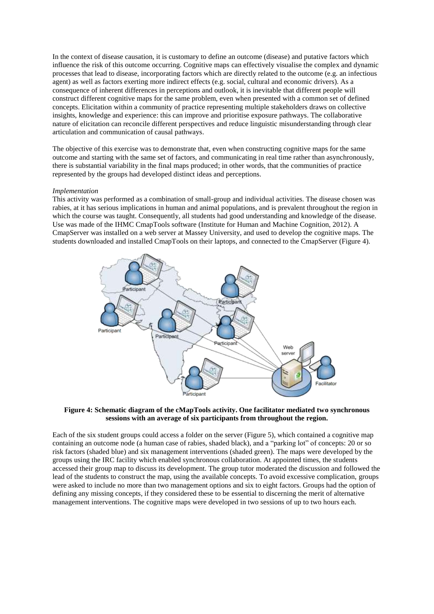In the context of disease causation, it is customary to define an outcome (disease) and putative factors which influence the risk of this outcome occurring. Cognitive maps can effectively visualise the complex and dynamic processes that lead to disease, incorporating factors which are directly related to the outcome (e.g. an infectious agent) as well as factors exerting more indirect effects (e.g. social, cultural and economic drivers). As a consequence of inherent differences in perceptions and outlook, it is inevitable that different people will construct different cognitive maps for the same problem, even when presented with a common set of defined concepts. Elicitation within a community of practice representing multiple stakeholders draws on collective insights, knowledge and experience: this can improve and prioritise exposure pathways. The collaborative nature of elicitation can reconcile different perspectives and reduce linguistic misunderstanding through clear articulation and communication of causal pathways.

The objective of this exercise was to demonstrate that, even when constructing cognitive maps for the same outcome and starting with the same set of factors, and communicating in real time rather than asynchronously, there is substantial variability in the final maps produced; in other words, that the communities of practice represented by the groups had developed distinct ideas and perceptions.

## *Implementation*

This activity was performed as a combination of small-group and individual activities. The disease chosen was rabies, at it has serious implications in human and animal populations, and is prevalent throughout the region in which the course was taught. Consequently, all students had good understanding and knowledge of the disease. Use was made of the IHMC CmapTools software (Institute for Human and Machine Cognition, 2012). A CmapServer was installed on a web server at Massey University, and used to develop the cognitive maps. The students downloaded and installed CmapTools on their laptops, and connected to the CmapServer (Figure 4).



### **Figure 4: Schematic diagram of the cMapTools activity. One facilitator mediated two synchronous sessions with an average of six participants from throughout the region.**

Each of the six student groups could access a folder on the server (Figure 5), which contained a cognitive map containing an outcome node (a human case of rabies, shaded black), and a "parking lot" of concepts: 20 or so risk factors (shaded blue) and six management interventions (shaded green). The maps were developed by the groups using the IRC facility which enabled synchronous collaboration. At appointed times, the students accessed their group map to discuss its development. The group tutor moderated the discussion and followed the lead of the students to construct the map, using the available concepts. To avoid excessive complication, groups were asked to include no more than two management options and six to eight factors. Groups had the option of defining any missing concepts, if they considered these to be essential to discerning the merit of alternative management interventions. The cognitive maps were developed in two sessions of up to two hours each.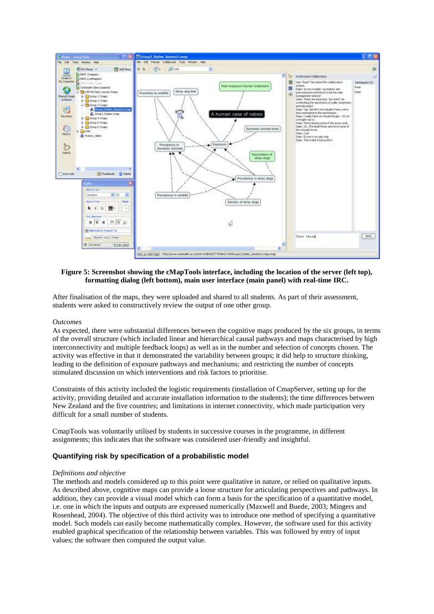

## **Figure 5: Screenshot showing the cMapTools interface, including the location of the server (left top), formatting dialog (left bottom), main user interface (main panel) with real-time IRC.**

After finalisation of the maps, they were uploaded and shared to all students. As part of their assessment, students were asked to constructively review the output of one other group.

#### *Outcomes*

As expected, there were substantial differences between the cognitive maps produced by the six groups, in terms of the overall structure (which included linear and hierarchical causal pathways and maps characterised by high interconnectivity and multiple feedback loops) as well as in the number and selection of concepts chosen. The activity was effective in that it demonstrated the variability between groups; it did help to structure thinking, leading to the definition of exposure pathways and mechanisms; and restricting the number of concepts stimulated discussion on which interventions and risk factors to prioritise.

Constraints of this activity included the logistic requirements (installation of CmapServer, setting up for the activity, providing detailed and accurate installation information to the students); the time differences between New Zealand and the five countries; and limitations in internet connectivity, which made participation very difficult for a small number of students.

CmapTools was voluntarily utilised by students in successive courses in the programme, in different assignments; this indicates that the software was considered user-friendly and insightful.

#### **Quantifying risk by specification of a probabilistic model**

#### *Definitions and objective*

The methods and models considered up to this point were qualitative in nature, or relied on qualitative inputs. As described above, cognitive maps can provide a loose structure for articulating perspectives and pathways. In addition, they can provide a visual model which can form a basis for the specification of a quantitative model, i.e. one in which the inputs and outputs are expressed numerically (Maxwell and Buede, 2003; Mingers and Rosenhead, 2004). The objective of this third activity was to introduce one method of specifying a quantitative model. Such models can easily become mathematically complex. However, the software used for this activity enabled graphical specification of the relationship between variables. This was followed by entry of input values; the software then computed the output value.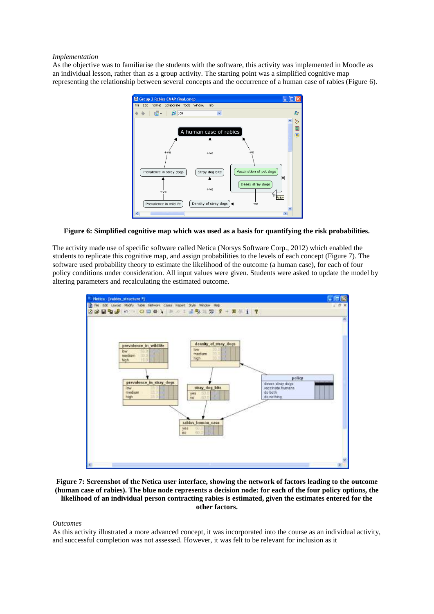#### *Implementation*

As the objective was to familiarise the students with the software, this activity was implemented in Moodle as an individual lesson, rather than as a group activity. The starting point was a simplified cognitive map representing the relationship between several concepts and the occurrence of a human case of rabies (Figure 6).



**Figure 6: Simplified cognitive map which was used as a basis for quantifying the risk probabilities.**

The activity made use of specific software called Netica (Norsys Software Corp., 2012) which enabled the students to replicate this cognitive map, and assign probabilities to the levels of each concept (Figure 7). The software used probability theory to estimate the likelihood of the outcome (a human case), for each of four policy conditions under consideration. All input values were given. Students were asked to update the model by altering parameters and recalculating the estimated outcome.



**Figure 7: Screenshot of the Netica user interface, showing the network of factors leading to the outcome (human case of rabies). The blue node represents a decision node: for each of the four policy options, the likelihood of an individual person contracting rabies is estimated, given the estimates entered for the other factors.**

#### *Outcomes*

As this activity illustrated a more advanced concept, it was incorporated into the course as an individual activity, and successful completion was not assessed. However, it was felt to be relevant for inclusion as it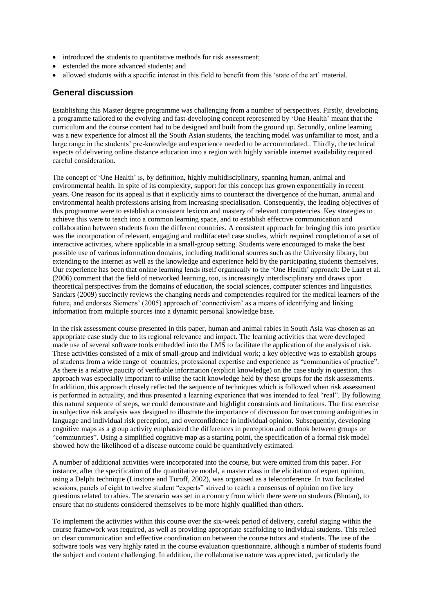- introduced the students to quantitative methods for risk assessment;
- extended the more advanced students; and
- allowed students with a specific interest in this field to benefit from this "state of the art" material.

# **General discussion**

Establishing this Master degree programme was challenging from a number of perspectives. Firstly, developing a programme tailored to the evolving and fast-developing concept represented by "One Health" meant that the curriculum and the course content had to be designed and built from the ground up. Secondly, online learning was a new experience for almost all the South Asian students, the teaching model was unfamiliar to most, and a large range in the students' pre-knowledge and experience needed to be accommodated.. Thirdly, the technical aspects of delivering online distance education into a region with highly variable internet availability required careful consideration.

The concept of "One Health" is, by definition, highly multidisciplinary, spanning human, animal and environmental health. In spite of its complexity, support for this concept has grown exponentially in recent years. One reason for its appeal is that it explicitly aims to counteract the divergence of the human, animal and environmental health professions arising from increasing specialisation. Consequently, the leading objectives of this programme were to establish a consistent lexicon and mastery of relevant competencies. Key strategies to achieve this were to teach into a common learning space, and to establish effective communication and collaboration between students from the different countries. A consistent approach for bringing this into practice was the incorporation of relevant, engaging and multifaceted case studies, which required completion of a set of interactive activities, where applicable in a small-group setting. Students were encouraged to make the best possible use of various information domains, including traditional sources such as the University library, but extending to the internet as well as the knowledge and experience held by the participating students themselves. Our experience has been that online learning lends itself organically to the "One Health" approach: De Laat et al. (2006) comment that the field of networked learning, too, is increasingly interdisciplinary and draws upon theoretical perspectives from the domains of education, the social sciences, computer sciences and linguistics. Sandars (2009) succinctly reviews the changing needs and competencies required for the medical learners of the future, and endorses Siemens" (2005) approach of "connectivism" as a means of identifying and linking information from multiple sources into a dynamic personal knowledge base.

In the risk assessment course presented in this paper, human and animal rabies in South Asia was chosen as an appropriate case study due to its regional relevance and impact. The learning activities that were developed made use of several software tools embedded into the LMS to facilitate the application of the analysis of risk. These activities consisted of a mix of small-group and individual work; a key objective was to establish groups of students from a wide range of countries, professional expertise and experience as "communities of practice". As there is a relative paucity of verifiable information (explicit knowledge) on the case study in question, this approach was especially important to utilise the tacit knowledge held by these groups for the risk assessments. In addition, this approach closely reflected the sequence of techniques which is followed when risk assessment is performed in actuality, and thus presented a learning experience that was intended to feel "real". By following this natural sequence of steps, we could demonstrate and highlight constraints and limitations. The first exercise in subjective risk analysis was designed to illustrate the importance of discussion for overcoming ambiguities in language and individual risk perception, and overconfidence in individual opinion. Subsequently, developing cognitive maps as a group activity emphasized the differences in perception and outlook between groups or "communities". Using a simplified cognitive map as a starting point, the specification of a formal risk model showed how the likelihood of a disease outcome could be quantitatively estimated.

A number of additional activities were incorporated into the course, but were omitted from this paper. For instance, after the specification of the quantitative model, a master class in the elicitation of expert opinion, using a Delphi technique (Linstone and Turoff, 2002), was organised as a teleconference. In two facilitated sessions, panels of eight to twelve student "experts" strived to reach a consensus of opinion on five key questions related to rabies. The scenario was set in a country from which there were no students (Bhutan), to ensure that no students considered themselves to be more highly qualified than others.

To implement the activities within this course over the six-week period of delivery, careful staging within the course framework was required, as well as providing appropriate scaffolding to individual students. This relied on clear communication and effective coordination on between the course tutors and students. The use of the software tools was very highly rated in the course evaluation questionnaire, although a number of students found the subject and content challenging. In addition, the collaborative nature was appreciated, particularly the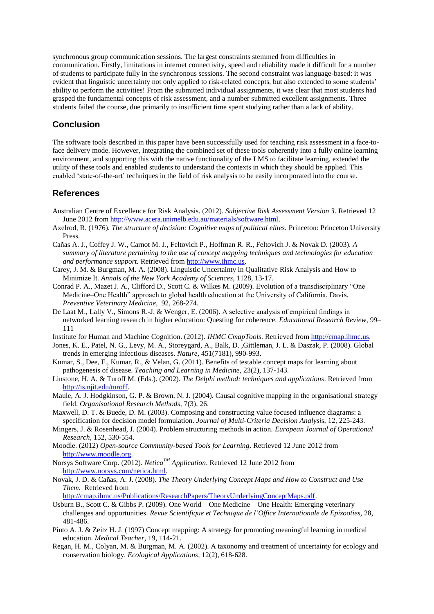synchronous group communication sessions. The largest constraints stemmed from difficulties in communication. Firstly, limitations in internet connectivity, speed and reliability made it difficult for a number of students to participate fully in the synchronous sessions. The second constraint was language-based: it was evident that linguistic uncertainty not only applied to risk-related concepts, but also extended to some students' ability to perform the activities! From the submitted individual assignments, it was clear that most students had grasped the fundamental concepts of risk assessment, and a number submitted excellent assignments. Three students failed the course, due primarily to insufficient time spent studying rather than a lack of ability.

# **Conclusion**

The software tools described in this paper have been successfully used for teaching risk assessment in a face-toface delivery mode. However, integrating the combined set of these tools coherently into a fully online learning environment, and supporting this with the native functionality of the LMS to facilitate learning, extended the utility of these tools and enabled students to understand the contexts in which they should be applied. This enabled "state-of-the-art" techniques in the field of risk analysis to be easily incorporated into the course.

# **References**

- Australian Centre of Excellence for Risk Analysis. (2012). *Subjective Risk Assessment Version 3.* Retrieved 12 June 2012 from [http://www.acera.unimelb.edu.au/materials/software.html.](http://www.acera.unimelb.edu.au/materials/software.html)
- Axelrod, R. (1976). *The structure of decision: Cognitive maps of political elites.* Princeton: Princeton University Press.
- Cañas A. J., Coffey J. W., Carnot M. J., Feltovich P., Hoffman R. R., Feltovich J. & Novak D. (2003). *A summary of literature pertaining to the use of concept mapping techniques and technologies for education and performance support.* Retrieved from [http://www.ihmc.us.](http://www.ihmc.us/)
- Carey, J. M. & Burgman, M. A. (2008). Linguistic Uncertainty in Qualitative Risk Analysis and How to Minimize It. *Annals of the New York Academy of Sciences,* 1128, 13-17.
- Conrad P. A., Mazet J. A., Clifford D., Scott C. & Wilkes M. (2009). Evolution of a transdisciplinary "One Medicine–One Health" approach to global health education at the University of California, Davis. *Preventive Veterinary Medicine,* 92, 268-274.
- De Laat M., Lally V., Simons R.-J. & Wenger, E. (2006). A selective analysis of empirical findings in networked learning research in higher education: Questing for coherence. *Educational Research Review,* 99– 111
- Institute for Human and Machine Cognition. (2012). *IHMC CmapTools*. Retrieved from [http://cmap.ihmc.us.](http://cmap.ihmc.us/)
- Jones, K. E., Patel, N. G., Levy, M. A., Storeygard, A., Balk, D. ,Gittleman, J. L. & Daszak, P. (2008). Global trends in emerging infectious diseases. *Nature,* 451(7181), 990-993.
- Kumar, S., Dee, F., Kumar, R., & Velan, G. (2011). Benefits of testable concept maps for learning about pathogenesis of disease. *Teaching and Learning in Medicine*, 23(2), 137-143.
- Linstone, H. A. & Turoff M. (Eds.). (2002). *The Delphi method: techniques and applications*. Retrieved from [http://is.njit.edu/turoff.](http://is.njit.edu/turoff)
- Maule, A. J. Hodgkinson, G. P. & Brown, N. J. (2004). Causal cognitive mapping in the organisational strategy field. *Organisational Research Methods,* 7(3), 26.
- Maxwell, D. T. & Buede, D. M. (2003). Composing and constructing value focused influence diagrams: a specification for decision model formulation. *Journal of Multi-Criteria Decision Analysi*s, 12, 225-243.
- Mingers, J. & Rosenhead, J. (2004). Problem structuring methods in action. *European Journal of Operational Research,* 152, 530-554.
- Moodle. (2012) *Open-source Community-based Tools for Learning*. Retrieved 12 June 2012 from [http://www.moodle.org.](http://www.moodle.org/)
- Norsys Software Corp. (2012). *NeticaTM Application*. Retrieved 12 June 2012 from [http://www.norsys.com/netica.html.](http://www.norsys.com/netica.html)
- Novak, J. D. & Cañas, A. J. (2008). *The Theory Underlying Concept Maps and How to Construct and Use Them.* Retrieved from

[http://cmap.ihmc.us/Publications/ResearchPapers/TheoryUnderlyingConceptMaps.pdf.](http://cmap.ihmc.us/Publications/ResearchPapers/TheoryUnderlyingConceptMaps.pdf)

- Osburn B., Scott C. & Gibbs P. (2009). One World One Medicine One Health: Emerging veterinary challenges and opportunities. *Revue Scientifique et Technique de l'Office Internationale de Epizooties,* 28, 481-486.
- Pinto A. J. & Zeitz H. J. (1997) Concept mapping: A strategy for promoting meaningful learning in medical education. *Medical Teacher,* 19, 114-21.
- Regan, H. M., Colyan, M. & Burgman, M. A. (2002). A taxonomy and treatment of uncertainty for ecology and conservation biology. *Ecological Applications,* 12(2), 618-628.